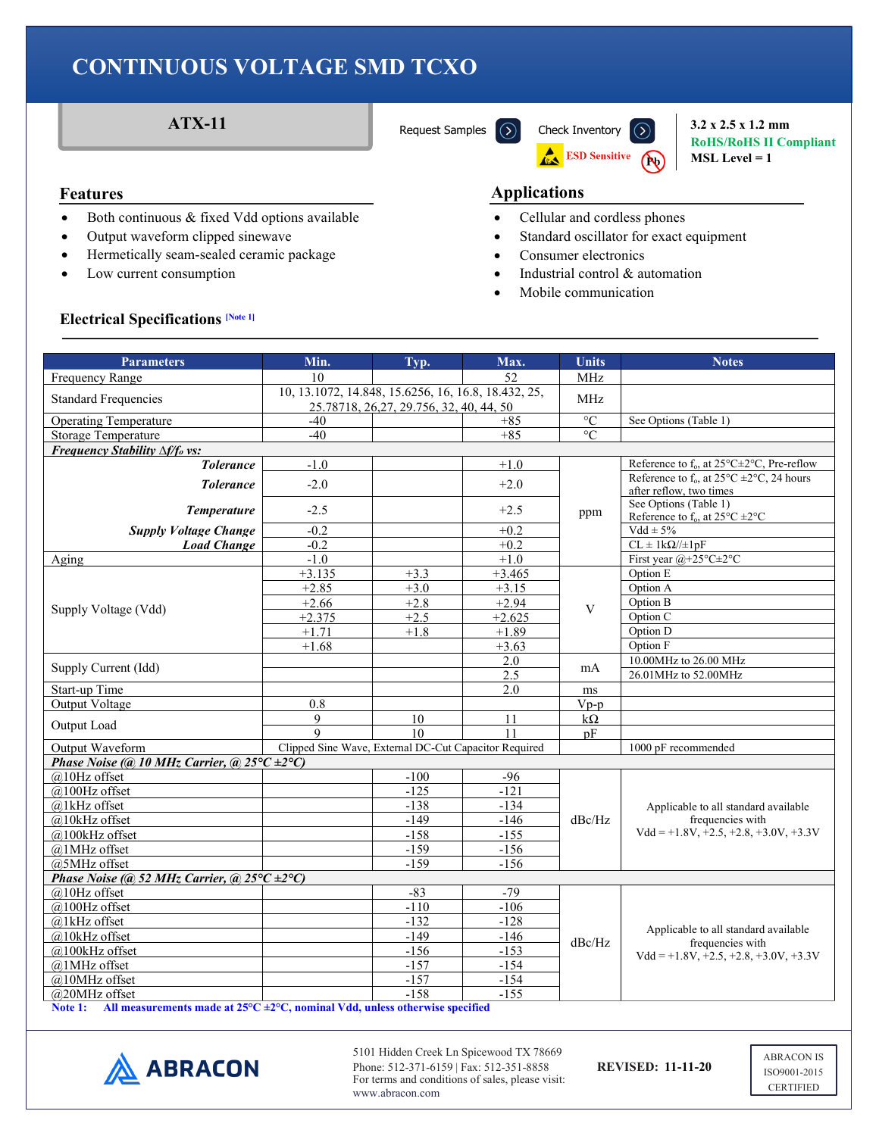

**RoHS/RoHS II Compliant MSL Level = 1**

- Both continuous & fixed Vdd options available
- Output waveform clipped sinewave
- Hermetically seam-sealed ceramic package
- Low current consumption

#### **Features Applications**

- Cellular and cordless phones
- Standard oscillator for exact equipment
- Consumer electronics
- Industrial control & automation
- Mobile communication

#### **Electrical Specifications [Note 1]**

| <b>Parameters</b>                                                                                                        | Min.                                                  | Typ.                                                                                                   | Max.             | <b>Units</b>    | <b>Notes</b>                                                                                  |  |
|--------------------------------------------------------------------------------------------------------------------------|-------------------------------------------------------|--------------------------------------------------------------------------------------------------------|------------------|-----------------|-----------------------------------------------------------------------------------------------|--|
| Frequency Range                                                                                                          | 10                                                    |                                                                                                        | 52               | MHz             |                                                                                               |  |
| <b>Standard Frequencies</b>                                                                                              |                                                       | 10, 13.1072, 14.848, 15.6256, 16, 16.8, 18.432, 25,<br>MHz<br>25.78718, 26, 27, 29.756, 32, 40, 44, 50 |                  |                 |                                                                                               |  |
| <b>Operating Temperature</b>                                                                                             | $-40$                                                 |                                                                                                        | $+85$            | $\overline{C}$  | See Options (Table 1)                                                                         |  |
| <b>Storage Temperature</b>                                                                                               | $-40$                                                 |                                                                                                        | $+85$            | $\rm ^{\circ}C$ |                                                                                               |  |
| Frequency Stability $\Delta f/f_o$ vs:                                                                                   |                                                       |                                                                                                        |                  |                 |                                                                                               |  |
| <b>Tolerance</b>                                                                                                         | $-1.0$                                                |                                                                                                        | $+1.0$           |                 | Reference to $f_0$ , at 25 $\textdegree$ C $\pm$ 2 $\textdegree$ C, Pre-reflow                |  |
| <b>Tolerance</b>                                                                                                         | $-2.0$                                                |                                                                                                        | $+2.0$           |                 | Reference to $f_0$ , at $25^{\circ}$ C $\pm 2^{\circ}$ C, 24 hours<br>after reflow, two times |  |
| <b>Temperature</b>                                                                                                       | $-2.5$                                                |                                                                                                        | $+2.5$           | ppm             | See Options (Table 1)<br>Reference to $f_0$ , at $25^{\circ}$ C $\pm 2^{\circ}$ C             |  |
| <b>Supply Voltage Change</b>                                                                                             | $-0.2$                                                |                                                                                                        | $+0.2$           |                 | $Vdd \pm 5\%$                                                                                 |  |
| <b>Load Change</b>                                                                                                       | $-0.2$                                                |                                                                                                        | $+0.2$           |                 | $CL \pm 1k\Omega/\pm 1pF$                                                                     |  |
| Aging                                                                                                                    | $-1.0$                                                |                                                                                                        | $+1.0$           |                 | First year @+25°C±2°C                                                                         |  |
|                                                                                                                          | $+3.135$                                              | $+3.3$                                                                                                 | $+3.465$         |                 | Option E                                                                                      |  |
|                                                                                                                          | $+2.85$                                               | $+3.0$                                                                                                 | $+3.15$          |                 | Option A                                                                                      |  |
|                                                                                                                          | $+2.66$                                               | $+2.8$                                                                                                 | $+2.94$          |                 | Option B                                                                                      |  |
| Supply Voltage (Vdd)                                                                                                     | $+2.375$                                              | $+2.5$                                                                                                 | $+2.625$         | V               | Option C                                                                                      |  |
|                                                                                                                          | $+1.71$                                               | $+1.8$                                                                                                 | $+1.89$          |                 | Option D                                                                                      |  |
|                                                                                                                          | $+1.68$                                               |                                                                                                        | $+3.63$          |                 | Option F                                                                                      |  |
|                                                                                                                          |                                                       |                                                                                                        | 2.0              |                 | 10.00MHz to 26.00 MHz                                                                         |  |
| Supply Current (Idd)                                                                                                     |                                                       |                                                                                                        | 2.5              | mA              | 26.01MHz to 52.00MHz                                                                          |  |
| Start-up Time                                                                                                            |                                                       |                                                                                                        | 2.0              | $\rm ms$        |                                                                                               |  |
| Output Voltage                                                                                                           | 0.8                                                   |                                                                                                        |                  | $V_{p-p}$       |                                                                                               |  |
| Output Load                                                                                                              | 9                                                     | 10                                                                                                     | 11               | $k\Omega$       |                                                                                               |  |
|                                                                                                                          | $\mathsf{Q}$                                          | 10                                                                                                     | 11               | pF              |                                                                                               |  |
| Output Waveform                                                                                                          | Clipped Sine Wave, External DC-Cut Capacitor Required |                                                                                                        |                  |                 | 1000 pF recommended                                                                           |  |
| Phase Noise (@ 10 MHz Carrier, @ 25 $\degree$ C $\pm$ 2 $\degree$ C)                                                     |                                                       |                                                                                                        |                  |                 |                                                                                               |  |
| $@$ 10Hz offset                                                                                                          |                                                       | $-100$                                                                                                 | $-96$            |                 |                                                                                               |  |
| @100Hz offset                                                                                                            |                                                       | $-125$                                                                                                 | $-121$           |                 |                                                                                               |  |
| @1kHz offset                                                                                                             |                                                       | $-138$                                                                                                 | $-134$           |                 | Applicable to all standard available                                                          |  |
| @10kHz offset                                                                                                            |                                                       | $-149$                                                                                                 | $-146$           | dBc/Hz          | frequencies with<br>$Vdd = +1.8V, +2.5, +2.8, +3.0V, +3.3V$                                   |  |
| @100kHz offset                                                                                                           |                                                       | $-158$                                                                                                 | $-155$           |                 |                                                                                               |  |
| @1MHz offset                                                                                                             |                                                       | $-159$                                                                                                 | $-156$           |                 |                                                                                               |  |
| @5MHz offset                                                                                                             |                                                       | $-159$                                                                                                 | $-156$           |                 |                                                                                               |  |
| Phase Noise (@ 52 MHz Carrier, @ $25^{\circ}C \pm 2^{\circ}C$ )                                                          |                                                       |                                                                                                        |                  |                 |                                                                                               |  |
| $@$ 10Hz offset                                                                                                          |                                                       | $-83$                                                                                                  | $-79$            |                 | Applicable to all standard available                                                          |  |
| @100Hz offset                                                                                                            |                                                       | $-110$                                                                                                 | $-106$           | dBc/Hz          |                                                                                               |  |
| @1kHz offset                                                                                                             |                                                       | $-132$                                                                                                 | $-128$           |                 |                                                                                               |  |
| @10kHz offset                                                                                                            |                                                       | $-149$                                                                                                 | $-146$           |                 | frequencies with                                                                              |  |
| @100kHz offset                                                                                                           |                                                       | $-156$                                                                                                 | $-153$           |                 | $Vdd = +1.8V, +2.5, +2.8, +3.0V, +3.3V$                                                       |  |
| @1MHz offset                                                                                                             |                                                       | $-157$                                                                                                 | $-154$           |                 |                                                                                               |  |
| @10MHz offset                                                                                                            |                                                       | $-157$<br>$-158$                                                                                       | $-154$<br>$-155$ |                 |                                                                                               |  |
| @20MHz offset<br>Note 1: All measurements made at $25^{\circ}C \pm 2^{\circ}C$ , nominal Vdd, unless otherwise specified |                                                       |                                                                                                        |                  |                 |                                                                                               |  |

 $\triangle$  ABRACON

5101 Hidden Creek Ln Spicewood TX 78669 Phone: 512-371-6159 | Fax: 512-351-8858 **REVISED: 11-11-20** For terms and conditions of sales, please visit: www.abracon.com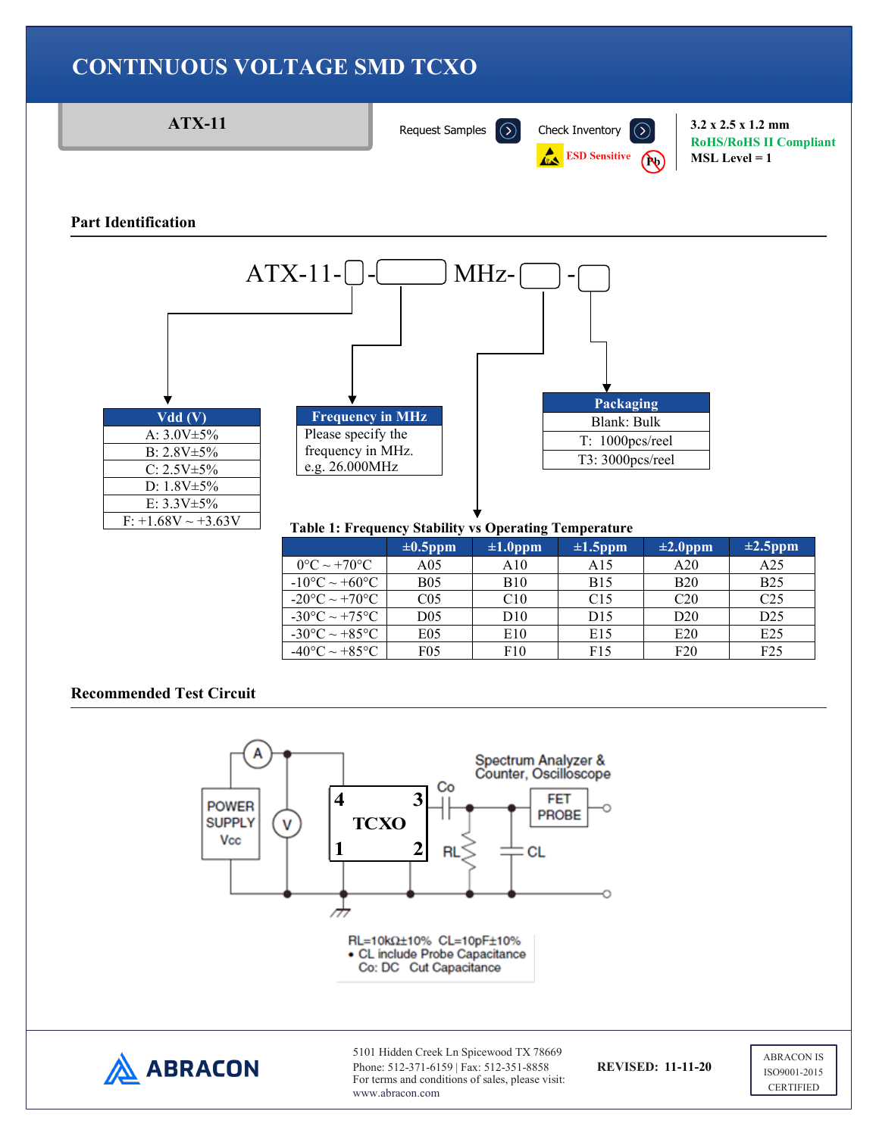





Phone: 512-371-6159 | Fax: 512-351-8858 **REVISED: 11-11-20** For terms and conditions of sales, please visit: www.abracon.com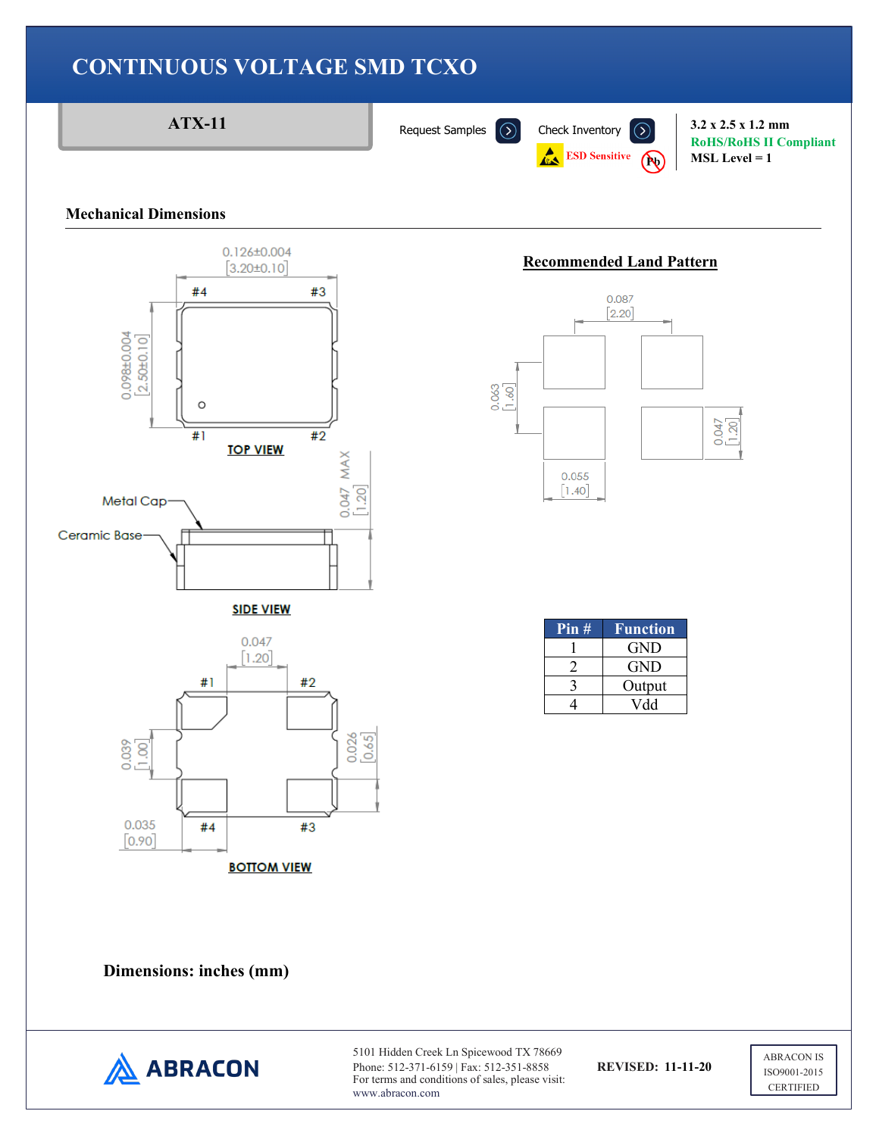

#### **Mechanical Dimensions**



# **Recommended Land Pattern**



| Pin# | Function |
|------|----------|
|      | GND      |
|      | GND      |
|      | Output   |
|      | Vdd      |

**Dimensions: inches (mm)** 



5101 Hidden Creek Ln Spicewood TX 78669 Phone: 512-371-6159 | Fax: 512-351-8858 **REVISED: 11-11-20** For terms and conditions of sales, please visit: www.abracon.com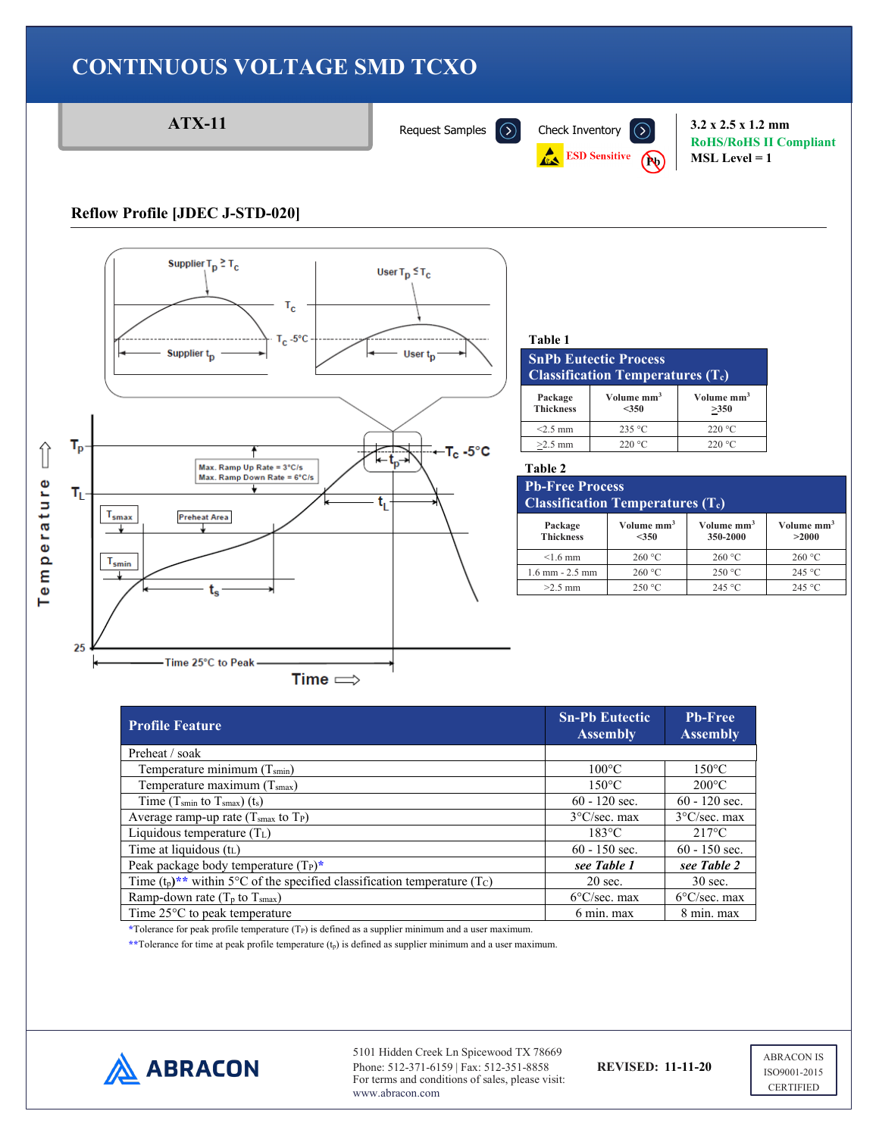

| <b>Profile Feature</b>                                                                              | <b>Sn-Pb Eutectic</b><br><b>Assembly</b> | <b>Pb-Free</b><br><b>Assembly</b> |
|-----------------------------------------------------------------------------------------------------|------------------------------------------|-----------------------------------|
| Preheat / soak                                                                                      |                                          |                                   |
| Temperature minimum (Tsmin)                                                                         | $100^{\circ}$ C                          | $150^{\circ}$ C                   |
| Temperature maximum $(Tsmax)$                                                                       | $150^{\circ}$ C                          | $200^{\circ}$ C                   |
| Time (T <sub>smin</sub> to T <sub>smax</sub> ) (t <sub>s</sub> )                                    | $60 - 120$ sec.                          | $60 - 120$ sec.                   |
| Average ramp-up rate $(Tsmax$ to $TP)$                                                              | $3^{\circ}$ C/sec. max                   | $3^{\circ}$ C/sec. max            |
| Liquidous temperature $(T_L)$                                                                       | $183^{\circ}$ C                          | $217^{\circ}$ C                   |
| Time at liquidous $(t_L)$                                                                           | $60 - 150$ sec.                          | $60 - 150$ sec.                   |
| Peak package body temperature $(T_P)^*$                                                             | see Table 1                              | see Table 2                       |
| Time $(t_p)$ <sup>**</sup> within 5°C of the specified classification temperature (T <sub>C</sub> ) | $20$ sec.                                | $30$ sec.                         |
| Ramp-down rate $(T_p \text{ to } T_{\text{smax}})$                                                  | $6^{\circ}$ C/sec. max                   | $6^{\circ}$ C/sec. max            |
| Time $25^{\circ}$ C to peak temperature                                                             | 6 min. max                               | 8 min. max                        |

\*Tolerance for peak profile temperature (T<sub>P</sub>) is defined as a supplier minimum and a user maximum.

**\*\***Tolerance for time at peak profile temperature (tp) is defined as supplier minimum and a user maximum.



5101 Hidden Creek Ln Spicewood TX 78669 Phone: 512-371-6159 | Fax: 512-351-8858 **REVISED: 11-11-20** For terms and conditions of sales, please visit: www.abracon.com

**RoHS/RoHS II Compliant MSL Level = 1**

**Volume mm3 >350**

**Volume mm3 350-2000**

**Volume mm3 >2000**